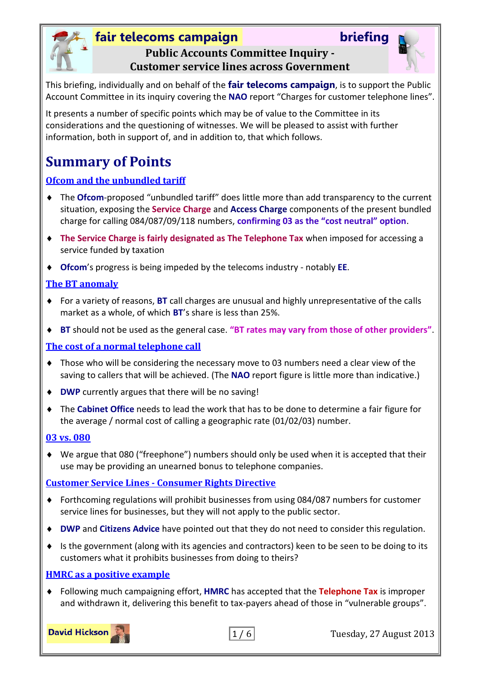



## **Public Accounts Committee Inquiry - Customer service lines across Government**

This briefing, individually and on behalf of the **fair telecoms campaign**, is to support the Public Account Committee in its inquiry covering the **NAO** report "Charges for customer telephone lines".

It presents a number of specific points which may be of value to the Committee in its considerations and the questioning of witnesses. We will be pleased to assist with further information, both in support of, and in addition to, that which follows.

# **Summary of Points**

## **[Ofcom and the unbundled tariff](#page-1-0)**

- The **Ofcom**-proposed "unbundled tariff" does little more than add transparency to the current situation, exposing the **Service Charge** and **Access Charge** components of the present bundled charge for calling 084/087/09/118 numbers, **confirming 03 as the "cost neutral" option**.
- **The Service Charge is fairly designated as The Telephone Tax** when imposed for accessing a service funded by taxation
- **Ofcom**'s progress is being impeded by the telecoms industry notably **EE**.

### **[The BT anomaly](#page-2-0)**

- For a variety of reasons, **BT** call charges are unusual and highly unrepresentative of the calls market as a whole, of which **BT**'s share is less than 25%.
- **BT** should not be used as the general case. **"BT rates may vary from those of other providers"**.

### **[The cost of a normal telephone call](#page-3-0)**

- Those who will be considering the necessary move to 03 numbers need a clear view of the saving to callers that will be achieved. (The **NAO** report figure is little more than indicative.)
- **DWP** currently argues that there will be no saving!
- The **Cabinet Office** needs to lead the work that has to be done to determine a fair figure for the average / normal cost of calling a geographic rate (01/02/03) number.

### **[03 vs. 080](#page-4-0)**

 We argue that 080 ("freephone") numbers should only be used when it is accepted that their use may be providing an unearned bonus to telephone companies.

## **Customer Service Lines - [Consumer Rights Directive](#page-4-1)**

- Forthcoming regulations will prohibit businesses from using 084/087 numbers for customer service lines for businesses, but they will not apply to the public sector.
- **DWP** and **Citizens Advice** have pointed out that they do not need to consider this regulation.
- $\bullet$  Is the government (along with its agencies and contractors) keen to be seen to be doing to its customers what it prohibits businesses from doing to theirs?

### **[HMRC as a positive example](#page-5-0)**

 Following much campaigning effort, **HMRC** has accepted that the **Telephone Tax** is improper and withdrawn it, delivering this benefit to tax-payers ahead of those in "vulnerable groups".

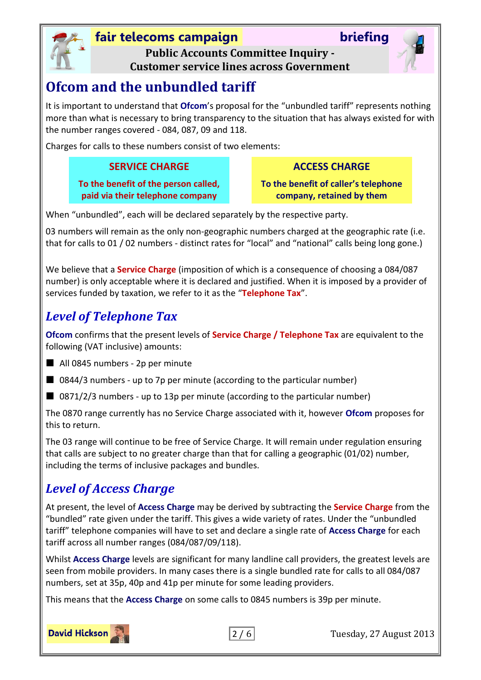



**Public Accounts Committee Inquiry - Customer service lines across Government**

# <span id="page-1-0"></span>**Ofcom and the unbundled tariff**

It is important to understand that **Ofcom**'s proposal for the "unbundled tariff" represents nothing more than what is necessary to bring transparency to the situation that has always existed for with the number ranges covered - 084, 087, 09 and 118.

Charges for calls to these numbers consist of two elements:

## **SERVICE CHARGE ACCESS CHARGE**

**To the benefit of the person called, paid via their telephone company**

**To the benefit of caller's telephone company, retained by them**

When "unbundled", each will be declared separately by the respective party.

03 numbers will remain as the only non-geographic numbers charged at the geographic rate (i.e. that for calls to 01 / 02 numbers - distinct rates for "local" and "national" calls being long gone.)

We believe that a **Service Charge** (imposition of which is a consequence of choosing a 084/087 number) is only acceptable where it is declared and justified. When it is imposed by a provider of services funded by taxation, we refer to it as the "**Telephone Tax**".

# *Level of Telephone Tax*

**Ofcom** confirms that the present levels of **Service Charge / Telephone Tax** are equivalent to the following (VAT inclusive) amounts:

- All 0845 numbers 2p per minute
- $\Box$  0844/3 numbers up to 7p per minute (according to the particular number)
- 0871/2/3 numbers up to 13p per minute (according to the particular number)

The 0870 range currently has no Service Charge associated with it, however **Ofcom** proposes for this to return.

The 03 range will continue to be free of Service Charge. It will remain under regulation ensuring that calls are subject to no greater charge than that for calling a geographic (01/02) number, including the terms of inclusive packages and bundles.

## *Level of Access Charge*

At present, the level of **Access Charge** may be derived by subtracting the **Service Charge** from the "bundled" rate given under the tariff. This gives a wide variety of rates. Under the "unbundled tariff" telephone companies will have to set and declare a single rate of **Access Charge** for each tariff across all number ranges (084/087/09/118).

Whilst **Access Charge** levels are significant for many landline call providers, the greatest levels are seen from mobile providers. In many cases there is a single bundled rate for calls to all 084/087 numbers, set at 35p, 40p and 41p per minute for some leading providers.

This means that the **Access Charge** on some calls to 0845 numbers is 39p per minute.

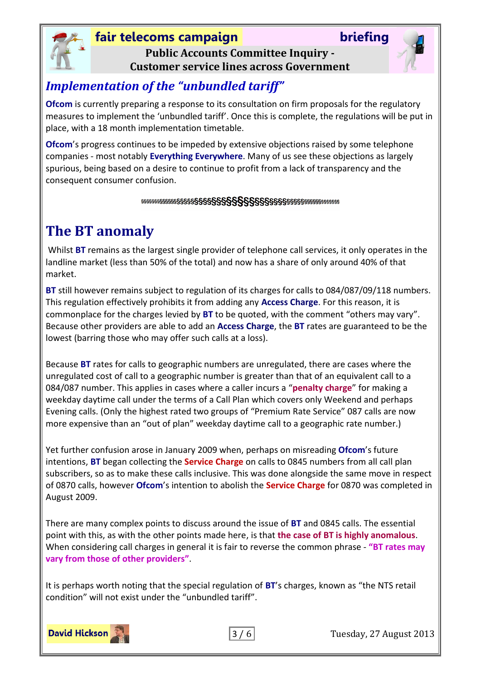

## **fair telecoms campaign briefing Public Accounts Committee Inquiry -**



**Customer service lines across Government**

## *Implementation of the "unbundled tariff"*

**Ofcom** is currently preparing a response to its consultation on firm proposals for the regulatory measures to implement the 'unbundled tariff'. Once this is complete, the regulations will be put in place, with a 18 month implementation timetable.

**Ofcom**'s progress continues to be impeded by extensive objections raised by some telephone companies - most notably **Everything Everywhere**. Many of us see these objections as largely spurious, being based on a desire to continue to profit from a lack of transparency and the consequent consumer confusion.

#### 

# <span id="page-2-0"></span>**The BT anomaly**

Whilst **BT** remains as the largest single provider of telephone call services, it only operates in the landline market (less than 50% of the total) and now has a share of only around 40% of that market.

**BT** still however remains subject to regulation of its charges for calls to 084/087/09/118 numbers. This regulation effectively prohibits it from adding any **Access Charge**. For this reason, it is commonplace for the charges levied by **BT** to be quoted, with the comment "others may vary". Because other providers are able to add an **Access Charge**, the **BT** rates are guaranteed to be the lowest (barring those who may offer such calls at a loss).

Because **BT** rates for calls to geographic numbers are unregulated, there are cases where the unregulated cost of call to a geographic number is greater than that of an equivalent call to a 084/087 number. This applies in cases where a caller incurs a "**penalty charge**" for making a weekday daytime call under the terms of a Call Plan which covers only Weekend and perhaps Evening calls. (Only the highest rated two groups of "Premium Rate Service" 087 calls are now more expensive than an "out of plan" weekday daytime call to a geographic rate number.)

Yet further confusion arose in January 2009 when, perhaps on misreading **Ofcom**'s future intentions, **BT** began collecting the **Service Charge** on calls to 0845 numbers from all call plan subscribers, so as to make these calls inclusive. This was done alongside the same move in respect of 0870 calls, however **Ofcom**'s intention to abolish the **Service Charge** for 0870 was completed in August 2009.

There are many complex points to discuss around the issue of **BT** and 0845 calls. The essential point with this, as with the other points made here, is that **the case of BT is highly anomalous**. When considering call charges in general it is fair to reverse the common phrase - **"BT rates may vary from those of other providers"**.

It is perhaps worth noting that the special regulation of **BT**'s charges, known as "the NTS retail condition" will not exist under the "unbundled tariff".

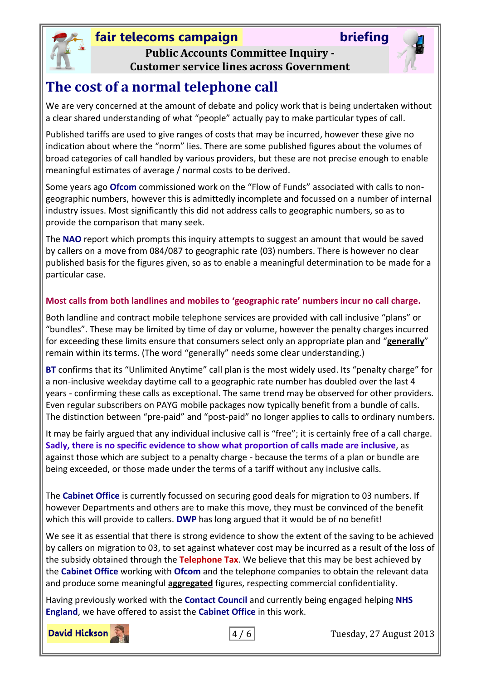



**Public Accounts Committee Inquiry - Customer service lines across Government**

# <span id="page-3-0"></span>**The cost of a normal telephone call**

We are very concerned at the amount of debate and policy work that is being undertaken without a clear shared understanding of what "people" actually pay to make particular types of call.

Published tariffs are used to give ranges of costs that may be incurred, however these give no indication about where the "norm" lies. There are some published figures about the volumes of broad categories of call handled by various providers, but these are not precise enough to enable meaningful estimates of average / normal costs to be derived.

Some years ago **Ofcom** commissioned work on the "Flow of Funds" associated with calls to nongeographic numbers, however this is admittedly incomplete and focussed on a number of internal industry issues. Most significantly this did not address calls to geographic numbers, so as to provide the comparison that many seek.

The **NAO** report which prompts this inquiry attempts to suggest an amount that would be saved by callers on a move from 084/087 to geographic rate (03) numbers. There is however no clear published basis for the figures given, so as to enable a meaningful determination to be made for a particular case.

### **Most calls from both landlines and mobiles to 'geographic rate' numbers incur no call charge.**

Both landline and contract mobile telephone services are provided with call inclusive "plans" or "bundles". These may be limited by time of day or volume, however the penalty charges incurred for exceeding these limits ensure that consumers select only an appropriate plan and "**generally**" remain within its terms. (The word "generally" needs some clear understanding.)

**BT** confirms that its "Unlimited Anytime" call plan is the most widely used. Its "penalty charge" for a non-inclusive weekday daytime call to a geographic rate number has doubled over the last 4 years - confirming these calls as exceptional. The same trend may be observed for other providers. Even regular subscribers on PAYG mobile packages now typically benefit from a bundle of calls. The distinction between "pre-paid" and "post-paid" no longer applies to calls to ordinary numbers.

It may be fairly argued that any individual inclusive call is "free"; it is certainly free of a call charge. **Sadly, there is no specific evidence to show what proportion of calls made are inclusive**, as against those which are subject to a penalty charge - because the terms of a plan or bundle are being exceeded, or those made under the terms of a tariff without any inclusive calls.

The **Cabinet Office** is currently focussed on securing good deals for migration to 03 numbers. If however Departments and others are to make this move, they must be convinced of the benefit which this will provide to callers. **DWP** has long argued that it would be of no benefit!

We see it as essential that there is strong evidence to show the extent of the saving to be achieved by callers on migration to 03, to set against whatever cost may be incurred as a result of the loss of the subsidy obtained through the **Telephone Tax**. We believe that this may be best achieved by the **Cabinet Office** working with **Ofcom** and the telephone companies to obtain the relevant data and produce some meaningful **aggregated** figures, respecting commercial confidentiality.

Having previously worked with the **Contact Council** and currently being engaged helping **NHS England**, we have offered to assist the **Cabinet Office** in this work.

**David Hickson** 



4 / 6 Tuesday, 27 August 2013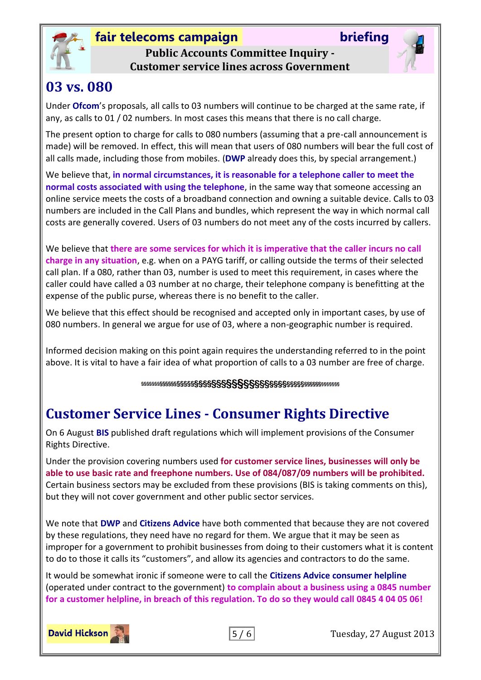



**Public Accounts Committee Inquiry - Customer service lines across Government**

# <span id="page-4-0"></span>**03 vs. 080**

Under **Ofcom**'s proposals, all calls to 03 numbers will continue to be charged at the same rate, if any, as calls to 01 / 02 numbers. In most cases this means that there is no call charge.

The present option to charge for calls to 080 numbers (assuming that a pre-call announcement is made) will be removed. In effect, this will mean that users of 080 numbers will bear the full cost of all calls made, including those from mobiles. (**DWP** already does this, by special arrangement.)

We believe that, **in normal circumstances, it is reasonable for a telephone caller to meet the normal costs associated with using the telephone**, in the same way that someone accessing an online service meets the costs of a broadband connection and owning a suitable device. Calls to 03 numbers are included in the Call Plans and bundles, which represent the way in which normal call costs are generally covered. Users of 03 numbers do not meet any of the costs incurred by callers.

We believe that **there are some services for which it is imperative that the caller incurs no call charge in any situation**, e.g. when on a PAYG tariff, or calling outside the terms of their selected call plan. If a 080, rather than 03, number is used to meet this requirement, in cases where the caller could have called a 03 number at no charge, their telephone company is benefitting at the expense of the public purse, whereas there is no benefit to the caller.

We believe that this effect should be recognised and accepted only in important cases, by use of 080 numbers. In general we argue for use of 03, where a non-geographic number is required.

Informed decision making on this point again requires the understanding referred to in the point above. It is vital to have a fair idea of what proportion of calls to a 03 number are free of charge.

# <span id="page-4-1"></span>**Customer Service Lines - Consumer Rights Directive**

On 6 August **BIS** published draft regulations which will implement provisions of the Consumer Rights Directive.

Under the provision covering numbers used **for customer service lines, businesses will only be able to use basic rate and freephone numbers. Use of 084/087/09 numbers will be prohibited.**  Certain business sectors may be excluded from these provisions (BIS is taking comments on this), but they will not cover government and other public sector services.

We note that **DWP** and **Citizens Advice** have both commented that because they are not covered by these regulations, they need have no regard for them. We argue that it may be seen as improper for a government to prohibit businesses from doing to their customers what it is content to do to those it calls its "customers", and allow its agencies and contractors to do the same.

It would be somewhat ironic if someone were to call the **Citizens Advice consumer helpline** (operated under contract to the government) **to complain about a business using a 0845 number for a customer helpline, in breach of this regulation. To do so they would call 0845 4 04 05 06!**





5 / 6 Tuesday, 27 August 2013